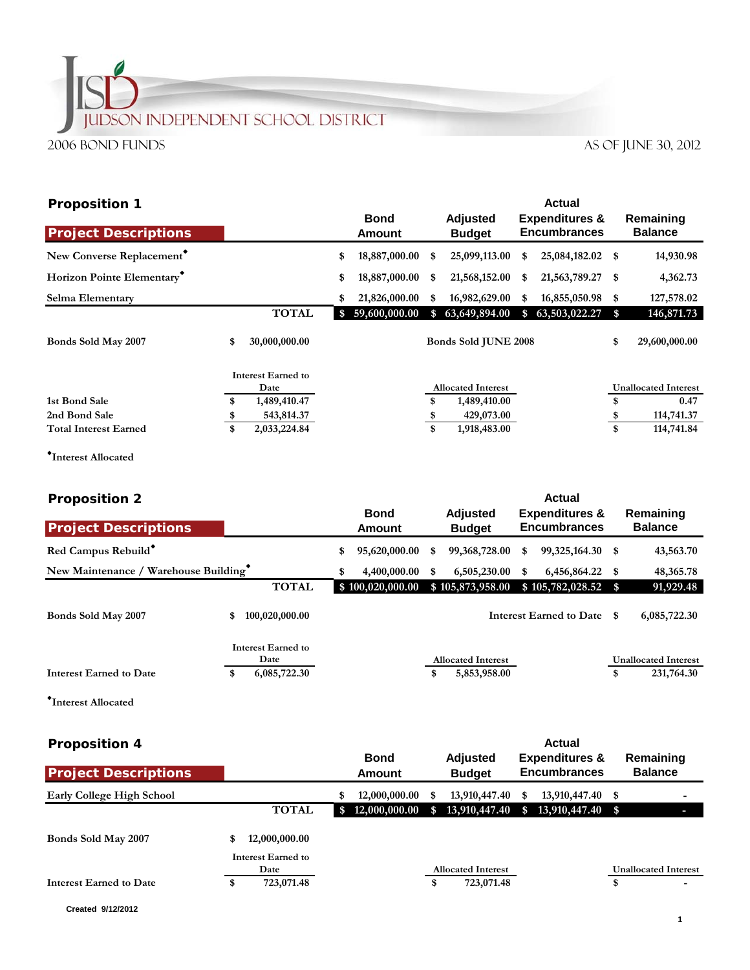## **JUDSON INDEPENDENT SCHOOL DISTRICT** 2006 Bond Funds AS OF JUNE 30, 2012

|                     |                                                                 |                       |                 |                                  |                                                         | Actual        |                                                    |                                                                            |
|---------------------|-----------------------------------------------------------------|-----------------------|-----------------|----------------------------------|---------------------------------------------------------|---------------|----------------------------------------------------|----------------------------------------------------------------------------|
|                     |                                                                 | <b>Bond</b><br>Amount |                 | <b>Adjusted</b><br><b>Budget</b> |                                                         |               |                                                    | Remaining<br><b>Balance</b>                                                |
|                     | \$                                                              | 18,887,000.00         | S               | 25,099,113.00                    | \$                                                      |               |                                                    | 14,930.98                                                                  |
|                     | \$                                                              | 18,887,000.00         | S               | 21,568,152.00                    | \$                                                      |               | - \$                                               | 4,362.73                                                                   |
|                     | \$                                                              | 21,826,000.00         | S               | 16,982,629.00                    | S                                                       | 16,855,050.98 | S                                                  | 127,578.02                                                                 |
| <b>TOTAL</b>        |                                                                 |                       | S.              | 63,649,894.00                    | \$                                                      | 63,503,022.27 | \$                                                 | 146,871.73                                                                 |
| \$<br>30,000,000.00 |                                                                 |                       |                 |                                  |                                                         |               | \$                                                 | 29,600,000.00                                                              |
|                     |                                                                 |                       |                 |                                  |                                                         |               |                                                    |                                                                            |
|                     |                                                                 |                       |                 |                                  |                                                         |               |                                                    | <b>Unallocated Interest</b>                                                |
|                     |                                                                 |                       |                 |                                  |                                                         |               |                                                    | 0.47                                                                       |
|                     |                                                                 |                       |                 |                                  |                                                         |               |                                                    | 114,741.37                                                                 |
| \$<br>2,033,224.84  |                                                                 |                       | \$              | 1,918,483.00                     |                                                         |               | \$                                                 | 114,741.84                                                                 |
| \$<br>S             | <b>Interest Earned to</b><br>Date<br>1,489,410.47<br>543,814.37 |                       | \$59,600,000.00 | \$                               | <b>Allocated Interest</b><br>1,489,410.00<br>429,073.00 |               | <b>Encumbrances</b><br><b>Bonds Sold JUNE 2008</b> | <b>Expenditures &amp;</b><br>25,084,182.02 \$<br>21,563,789.27<br>\$<br>-S |

**Interest Allocated**

| <b>Proposition 2</b>                 |    |                            |    | <b>Actual</b>             |    |                                                  |    |                            |                             |                             |
|--------------------------------------|----|----------------------------|----|---------------------------|----|--------------------------------------------------|----|----------------------------|-----------------------------|-----------------------------|
| <b>Project Descriptions</b>          |    | <b>Bond</b><br>Amount      |    | Adjusted<br><b>Budget</b> |    | <b>Expenditures &amp;</b><br><b>Encumbrances</b> |    |                            | Remaining<br><b>Balance</b> |                             |
|                                      |    |                            |    |                           |    |                                                  |    |                            |                             |                             |
| Red Campus Rebuild*                  |    |                            | \$ | 95,620,000.00             | S  | 99,368,728.00                                    | \$ | 99,325,164.30 \$           |                             | 43,563.70                   |
| New Maintenance / Warehouse Building |    |                            | \$ | 4,400,000.00              | \$ | 6,505,230.00                                     | \$ | 6,456,864.22 \$            |                             | 48, 365. 78                 |
|                                      |    | <b>TOTAL</b>               |    | \$100,020,000.00          |    | \$105,873,958.00                                 |    | $$105,782,028.52$ \$       |                             | 91,929.48                   |
| Bonds Sold May 2007                  | \$ | 100,020,000.00             |    |                           |    |                                                  |    | Interest Earned to Date \$ |                             | 6,085,722.30                |
|                                      |    | Interest Earned to<br>Date |    |                           |    | <b>Allocated Interest</b>                        |    |                            |                             | <b>Unallocated Interest</b> |
| <b>Interest Earned to Date</b>       | \$ | 6,085,722.30               |    |                           | \$ | 5,853,958.00                                     |    |                            | \$                          | 231,764.30                  |
|                                      |    |                            |    |                           |    |                                                  |    |                            |                             |                             |

**Interest Allocated**

| <b>Proposition 4</b>        |                     |                              |                                  | Actual                                           |                             |
|-----------------------------|---------------------|------------------------------|----------------------------------|--------------------------------------------------|-----------------------------|
| <b>Project Descriptions</b> |                     | <b>Bond</b><br><b>Amount</b> | <b>Adjusted</b><br><b>Budget</b> | <b>Expenditures &amp;</b><br><b>Encumbrances</b> | Remaining<br><b>Balance</b> |
| Early College High School   |                     | 12,000,000.00<br>S           | 13,910,447.40<br>S               | 13,910,447.40 \$<br>S                            | $\overline{\phantom{a}}$    |
|                             | <b>TOTAL</b>        | \$12,000,000.00              | 13,910,447.40<br>\$.             | 13,910,447.40 \$<br>$\mathbf{s}$                 |                             |
| Bonds Sold May 2007         | 12,000,000.00<br>\$ |                              |                                  |                                                  |                             |
|                             | Interest Earned to  |                              |                                  |                                                  |                             |
|                             | Date                |                              | <b>Allocated Interest</b>        |                                                  | <b>Unallocated Interest</b> |
| Interest Earned to Date     | 723,071.48<br>\$    |                              | 723,071.48<br>\$                 |                                                  | \$                          |